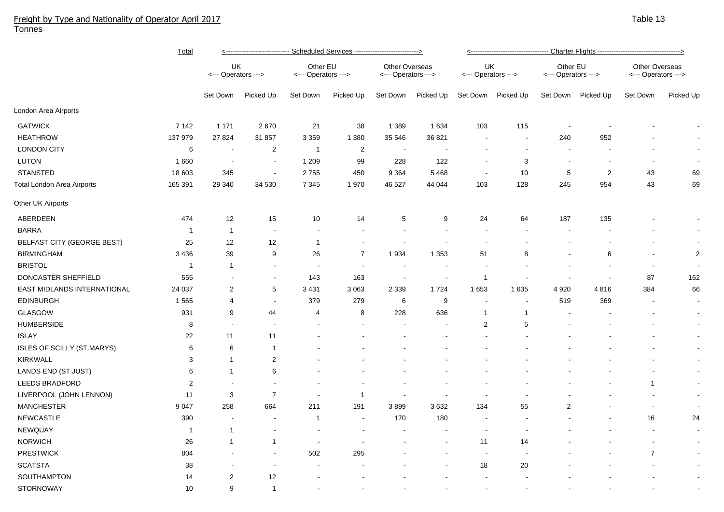## Freight by Type and Nationality of Operator April 2017 Tonnes

|                             | <b>Total</b>   | <---------------------------- Scheduled Services ---------------------------> |                          |                                 |                |                                              |                | <---------------------------------- Charter Flights ----------------------------------> |              |                                 |                |                                              |                |  |
|-----------------------------|----------------|-------------------------------------------------------------------------------|--------------------------|---------------------------------|----------------|----------------------------------------------|----------------|-----------------------------------------------------------------------------------------|--------------|---------------------------------|----------------|----------------------------------------------|----------------|--|
|                             |                | UK<br><--- Operators --->                                                     |                          | Other EU<br><--- Operators ---> |                | <b>Other Overseas</b><br><--- Operators ---> |                | UK<br><--- Operators --->                                                               |              | Other EU<br><--- Operators ---> |                | <b>Other Overseas</b><br><--- Operators ---> |                |  |
|                             |                | Set Down                                                                      | Picked Up                | Set Down                        | Picked Up      | Set Down                                     | Picked Up      | Set Down                                                                                | Picked Up    | Set Down                        | Picked Up      | Set Down                                     | Picked Up      |  |
| London Area Airports        |                |                                                                               |                          |                                 |                |                                              |                |                                                                                         |              |                                 |                |                                              |                |  |
| <b>GATWICK</b>              | 7 1 4 2        | 1 1 7 1                                                                       | 2670                     | 21                              | 38             | 1 3 8 9                                      | 1634           | 103                                                                                     | 115          |                                 |                |                                              |                |  |
| <b>HEATHROW</b>             | 137 979        | 27 8 24                                                                       | 31 857                   | 3 3 5 9                         | 1 3 8 0        | 35 546                                       | 36 821         |                                                                                         |              | 240                             | 952            |                                              |                |  |
| <b>LONDON CITY</b>          | $\,6$          | $\sim$                                                                        | $\overline{2}$           | $\overline{1}$                  | $\overline{c}$ | <b>.</b>                                     |                |                                                                                         |              | $\sim$                          |                |                                              |                |  |
| <b>LUTON</b>                | 1 6 6 0        | $\sim$                                                                        | $\blacksquare$           | 1 2 0 9                         | 99             | 228                                          | 122            |                                                                                         | 3            |                                 |                |                                              |                |  |
| <b>STANSTED</b>             | 18 603         | 345                                                                           | $\overline{\phantom{a}}$ | 2755                            | 450            | 9 3 6 4                                      | 5 4 6 8        | $\sim$                                                                                  | 10           | 5                               | $\overline{2}$ | 43                                           | 69             |  |
| Total London Area Airports  | 165 391        | 29 340                                                                        | 34 530                   | 7 3 4 5                         | 1970           | 46 527                                       | 44 044         | 103                                                                                     | 128          | 245                             | 954            | 43                                           | 69             |  |
| Other UK Airports           |                |                                                                               |                          |                                 |                |                                              |                |                                                                                         |              |                                 |                |                                              |                |  |
| ABERDEEN                    | 474            | 12                                                                            | 15                       | 10                              | 14             | 5                                            | 9              | 24                                                                                      | 64           | 187                             | 135            |                                              | $\blacksquare$ |  |
| <b>BARRA</b>                | $\mathbf{1}$   | $\mathbf{1}$                                                                  | $\overline{\phantom{a}}$ | $\overline{\phantom{a}}$        |                | $\overline{\phantom{a}}$                     | $\blacksquare$ |                                                                                         |              |                                 |                |                                              | $\sim$         |  |
| BELFAST CITY (GEORGE BEST)  | 25             | 12                                                                            | 12                       | $\mathbf{1}$                    |                |                                              |                |                                                                                         |              |                                 |                |                                              | $\sim$         |  |
| <b>BIRMINGHAM</b>           | 3 4 3 6        | 39                                                                            | 9                        | 26                              | $\overline{7}$ | 1934                                         | 1 3 5 3        | 51                                                                                      | 8            |                                 | 6              |                                              | $\overline{2}$ |  |
| <b>BRISTOL</b>              | $\mathbf{1}$   | $\mathbf 1$                                                                   | $\blacksquare$           | $\sim$                          |                |                                              |                |                                                                                         |              |                                 |                |                                              |                |  |
| DONCASTER SHEFFIELD         | 555            |                                                                               | $\blacksquare$           | 143                             | 163            | $\overline{\phantom{a}}$                     | $\overline{a}$ | $\overline{1}$                                                                          |              | $\blacksquare$                  |                | 87                                           | 162            |  |
| EAST MIDLANDS INTERNATIONAL | 24 037         | 2                                                                             | 5                        | 3 4 3 1                         | 3 0 6 3        | 2 3 3 9                                      | 1724           | 1653                                                                                    | 1635         | 4 9 20                          | 4816           | 384                                          | 66             |  |
| <b>EDINBURGH</b>            | 1 5 6 5        | 4                                                                             | $\overline{\phantom{a}}$ | 379                             | 279            | 6                                            | 9              |                                                                                         |              | 519                             | 369            | $\overline{\phantom{a}}$                     | $\blacksquare$ |  |
| GLASGOW                     | 931            | 9                                                                             | 44                       | 4                               | 8              | 228                                          | 636            | $\overline{1}$                                                                          | $\mathbf{1}$ |                                 |                |                                              | $\blacksquare$ |  |
| <b>HUMBERSIDE</b>           | 8              | $\sim$                                                                        | $\overline{\phantom{a}}$ |                                 |                |                                              |                | $\overline{2}$                                                                          | 5            |                                 |                |                                              | $\blacksquare$ |  |
| <b>ISLAY</b>                | 22             | 11                                                                            | 11                       |                                 |                |                                              |                |                                                                                         |              |                                 |                |                                              | $\blacksquare$ |  |
| ISLES OF SCILLY (ST.MARYS)  | 6              | 6                                                                             | $\overline{1}$           |                                 |                |                                              |                |                                                                                         |              |                                 |                |                                              | $\blacksquare$ |  |
| <b>KIRKWALL</b>             | 3              | $\mathbf{1}$                                                                  | $\overline{c}$           |                                 |                |                                              |                |                                                                                         |              |                                 |                |                                              | $\blacksquare$ |  |
| LANDS END (ST JUST)         | 6              | 1                                                                             | 6                        |                                 |                |                                              |                |                                                                                         |              |                                 |                |                                              | $\sim$         |  |
| <b>LEEDS BRADFORD</b>       | $\overline{2}$ | $\overline{\phantom{a}}$                                                      | $\overline{\phantom{a}}$ |                                 |                |                                              |                |                                                                                         |              |                                 |                | -1                                           | $\blacksquare$ |  |
| LIVERPOOL (JOHN LENNON)     | 11             | 3                                                                             | $\overline{7}$           |                                 | -1             |                                              |                |                                                                                         |              |                                 |                |                                              | $\blacksquare$ |  |
| <b>MANCHESTER</b>           | 9 0 4 7        | 258                                                                           | 664                      | 211                             | 191            | 3899                                         | 3632           | 134                                                                                     | 55           | $\overline{2}$                  |                | $\blacksquare$                               | $\bullet$      |  |
| <b>NEWCASTLE</b>            | 390            | $\sim$                                                                        | $\overline{\phantom{a}}$ | 1                               |                | 170                                          | 180            |                                                                                         |              |                                 |                | $16\,$                                       | 24             |  |
| NEWQUAY                     | $\mathbf{1}$   | $\mathbf{1}$                                                                  | $\overline{\phantom{a}}$ |                                 |                |                                              |                |                                                                                         |              |                                 |                | $\overline{\phantom{a}}$                     | $\sim$         |  |
| <b>NORWICH</b>              | 26             | $\mathbf{1}$                                                                  | $\overline{1}$           |                                 |                |                                              |                | 11                                                                                      | 14           |                                 |                | $\overline{\phantom{a}}$                     | $\blacksquare$ |  |
| <b>PRESTWICK</b>            | 804            |                                                                               |                          | 502                             | 295            |                                              |                |                                                                                         |              |                                 |                | $\overline{7}$                               | $\blacksquare$ |  |
| <b>SCATSTA</b>              | 38             |                                                                               |                          |                                 |                |                                              |                | 18                                                                                      | 20           |                                 |                |                                              | $\blacksquare$ |  |
| SOUTHAMPTON                 | 14             | $\overline{\mathbf{c}}$                                                       | 12                       |                                 |                |                                              |                |                                                                                         |              |                                 |                |                                              | $\blacksquare$ |  |
| STORNOWAY                   | 10             | 9                                                                             | $\overline{1}$           |                                 |                |                                              |                |                                                                                         |              |                                 |                |                                              |                |  |